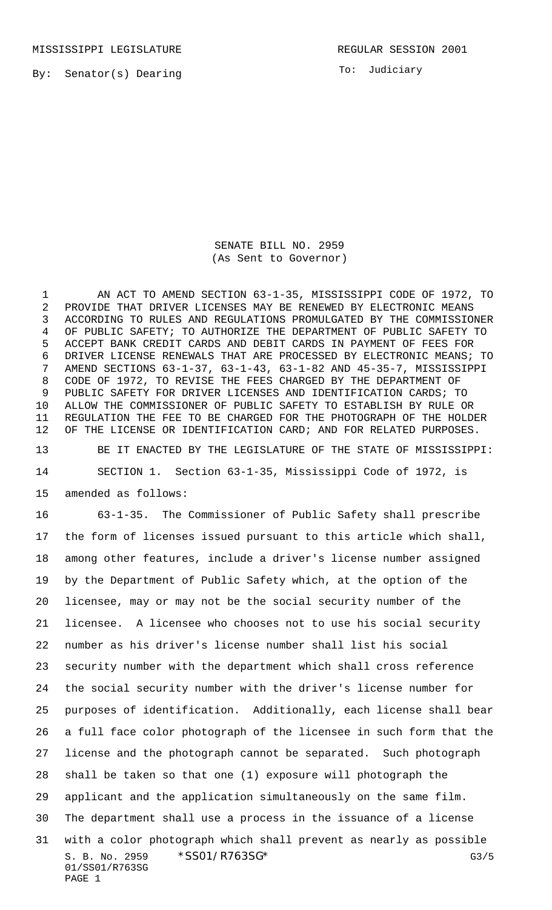MISSISSIPPI LEGISLATURE **REGULAR SESSION 2001** 

By: Senator(s) Dearing

To: Judiciary

SENATE BILL NO. 2959 (As Sent to Governor)

 AN ACT TO AMEND SECTION 63-1-35, MISSISSIPPI CODE OF 1972, TO PROVIDE THAT DRIVER LICENSES MAY BE RENEWED BY ELECTRONIC MEANS ACCORDING TO RULES AND REGULATIONS PROMULGATED BY THE COMMISSIONER OF PUBLIC SAFETY; TO AUTHORIZE THE DEPARTMENT OF PUBLIC SAFETY TO ACCEPT BANK CREDIT CARDS AND DEBIT CARDS IN PAYMENT OF FEES FOR DRIVER LICENSE RENEWALS THAT ARE PROCESSED BY ELECTRONIC MEANS; TO AMEND SECTIONS 63-1-37, 63-1-43, 63-1-82 AND 45-35-7, MISSISSIPPI CODE OF 1972, TO REVISE THE FEES CHARGED BY THE DEPARTMENT OF PUBLIC SAFETY FOR DRIVER LICENSES AND IDENTIFICATION CARDS; TO ALLOW THE COMMISSIONER OF PUBLIC SAFETY TO ESTABLISH BY RULE OR REGULATION THE FEE TO BE CHARGED FOR THE PHOTOGRAPH OF THE HOLDER OF THE LICENSE OR IDENTIFICATION CARD; AND FOR RELATED PURPOSES. BE IT ENACTED BY THE LEGISLATURE OF THE STATE OF MISSISSIPPI:

 SECTION 1. Section 63-1-35, Mississippi Code of 1972, is amended as follows:

S. B. No. 2959 \* SSO1/R763SG\* G3/5 01/SS01/R763SG PAGE 1 63-1-35. The Commissioner of Public Safety shall prescribe the form of licenses issued pursuant to this article which shall, among other features, include a driver's license number assigned by the Department of Public Safety which, at the option of the licensee, may or may not be the social security number of the licensee. A licensee who chooses not to use his social security number as his driver's license number shall list his social security number with the department which shall cross reference the social security number with the driver's license number for purposes of identification. Additionally, each license shall bear a full face color photograph of the licensee in such form that the license and the photograph cannot be separated. Such photograph shall be taken so that one (1) exposure will photograph the applicant and the application simultaneously on the same film. The department shall use a process in the issuance of a license with a color photograph which shall prevent as nearly as possible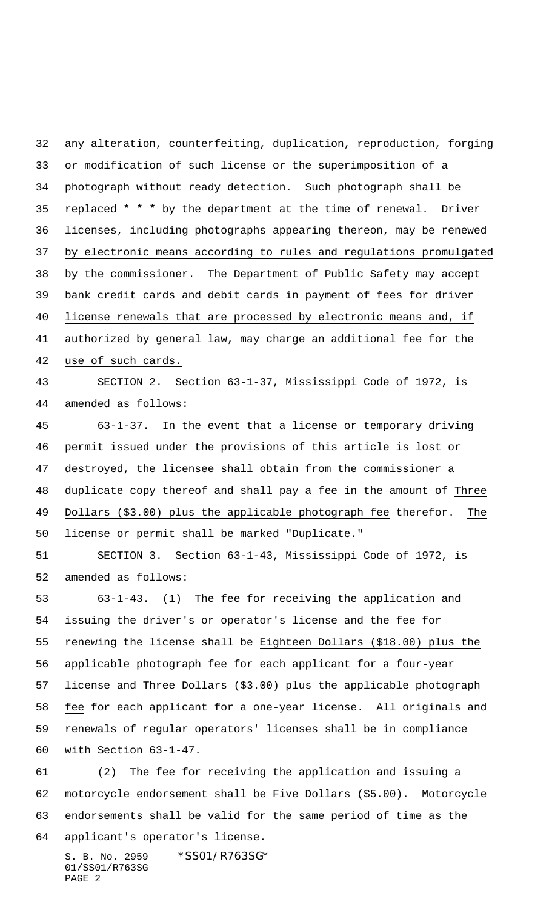any alteration, counterfeiting, duplication, reproduction, forging or modification of such license or the superimposition of a photograph without ready detection. Such photograph shall be replaced **\* \* \*** by the department at the time of renewal. Driver licenses, including photographs appearing thereon, may be renewed by electronic means according to rules and regulations promulgated by the commissioner. The Department of Public Safety may accept bank credit cards and debit cards in payment of fees for driver license renewals that are processed by electronic means and, if authorized by general law, may charge an additional fee for the use of such cards. SECTION 2. Section 63-1-37, Mississippi Code of 1972, is amended as follows: 63-1-37. In the event that a license or temporary driving

 permit issued under the provisions of this article is lost or destroyed, the licensee shall obtain from the commissioner a duplicate copy thereof and shall pay a fee in the amount of Three 49 Dollars (\$3.00) plus the applicable photograph fee therefor. The license or permit shall be marked "Duplicate."

 SECTION 3. Section 63-1-43, Mississippi Code of 1972, is amended as follows:

 63-1-43. (1) The fee for receiving the application and issuing the driver's or operator's license and the fee for renewing the license shall be Eighteen Dollars (\$18.00) plus the applicable photograph fee for each applicant for a four-year license and Three Dollars (\$3.00) plus the applicable photograph fee for each applicant for a one-year license. All originals and renewals of regular operators' licenses shall be in compliance with Section 63-1-47.

 (2) The fee for receiving the application and issuing a motorcycle endorsement shall be Five Dollars (\$5.00). Motorcycle endorsements shall be valid for the same period of time as the applicant's operator's license.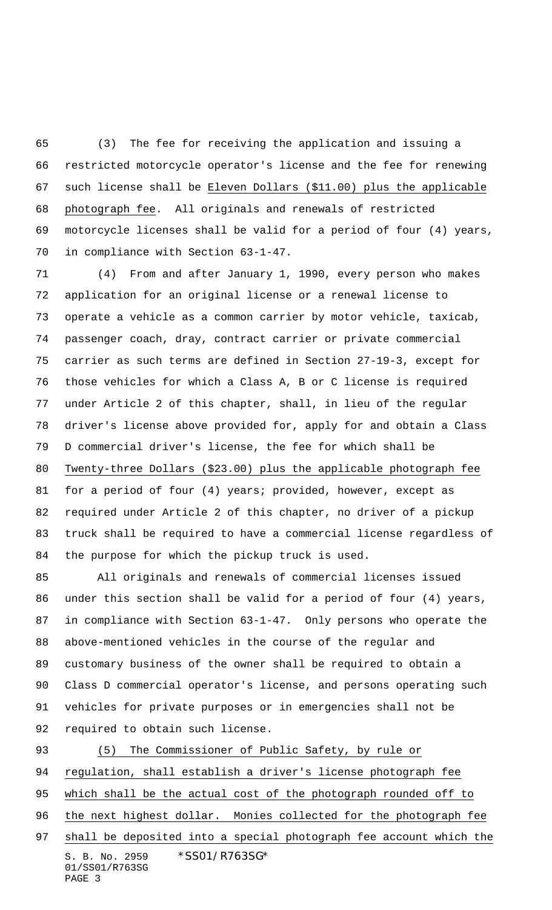(3) The fee for receiving the application and issuing a restricted motorcycle operator's license and the fee for renewing such license shall be Eleven Dollars (\$11.00) plus the applicable photograph fee. All originals and renewals of restricted motorcycle licenses shall be valid for a period of four (4) years, in compliance with Section 63-1-47.

 (4) From and after January 1, 1990, every person who makes application for an original license or a renewal license to operate a vehicle as a common carrier by motor vehicle, taxicab, passenger coach, dray, contract carrier or private commercial carrier as such terms are defined in Section 27-19-3, except for those vehicles for which a Class A, B or C license is required under Article 2 of this chapter, shall, in lieu of the regular driver's license above provided for, apply for and obtain a Class D commercial driver's license, the fee for which shall be Twenty-three Dollars (\$23.00) plus the applicable photograph fee for a period of four (4) years; provided, however, except as required under Article 2 of this chapter, no driver of a pickup truck shall be required to have a commercial license regardless of the purpose for which the pickup truck is used.

 All originals and renewals of commercial licenses issued under this section shall be valid for a period of four (4) years, in compliance with Section 63-1-47. Only persons who operate the above-mentioned vehicles in the course of the regular and customary business of the owner shall be required to obtain a Class D commercial operator's license, and persons operating such vehicles for private purposes or in emergencies shall not be required to obtain such license.

S. B. No. 2959 \* SS01/R763SG\* 01/SS01/R763SG PAGE 3 (5) The Commissioner of Public Safety, by rule or regulation, shall establish a driver's license photograph fee which shall be the actual cost of the photograph rounded off to 96 the next highest dollar. Monies collected for the photograph fee shall be deposited into a special photograph fee account which the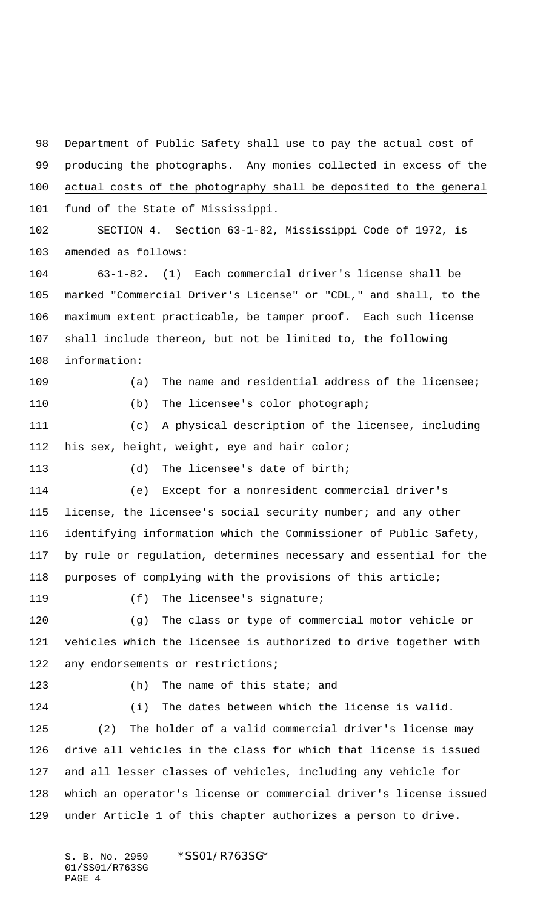Department of Public Safety shall use to pay the actual cost of producing the photographs. Any monies collected in excess of the actual costs of the photography shall be deposited to the general 101 fund of the State of Mississippi. SECTION 4. Section 63-1-82, Mississippi Code of 1972, is amended as follows: 63-1-82. (1) Each commercial driver's license shall be marked "Commercial Driver's License" or "CDL," and shall, to the maximum extent practicable, be tamper proof. Each such license shall include thereon, but not be limited to, the following information: (a) The name and residential address of the licensee; (b) The licensee's color photograph; (c) A physical description of the licensee, including his sex, height, weight, eye and hair color; (d) The licensee's date of birth; (e) Except for a nonresident commercial driver's 115 license, the licensee's social security number; and any other identifying information which the Commissioner of Public Safety, by rule or regulation, determines necessary and essential for the purposes of complying with the provisions of this article; (f) The licensee's signature; (g) The class or type of commercial motor vehicle or vehicles which the licensee is authorized to drive together with 122 any endorsements or restrictions; 123 (h) The name of this state; and (i) The dates between which the license is valid. (2) The holder of a valid commercial driver's license may drive all vehicles in the class for which that license is issued and all lesser classes of vehicles, including any vehicle for which an operator's license or commercial driver's license issued under Article 1 of this chapter authorizes a person to drive.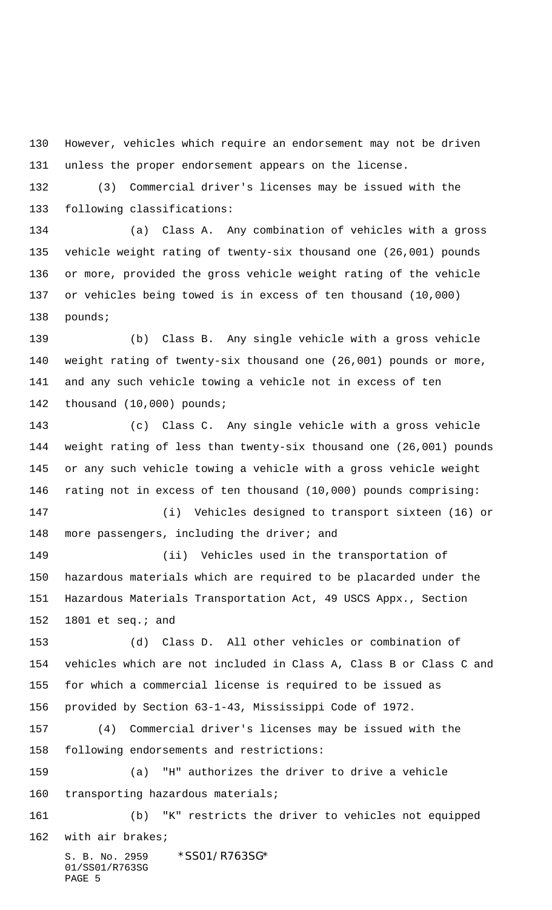However, vehicles which require an endorsement may not be driven unless the proper endorsement appears on the license.

 (3) Commercial driver's licenses may be issued with the following classifications:

 (a) Class A. Any combination of vehicles with a gross vehicle weight rating of twenty-six thousand one (26,001) pounds or more, provided the gross vehicle weight rating of the vehicle or vehicles being towed is in excess of ten thousand (10,000) pounds;

 (b) Class B. Any single vehicle with a gross vehicle weight rating of twenty-six thousand one (26,001) pounds or more, and any such vehicle towing a vehicle not in excess of ten thousand (10,000) pounds;

 (c) Class C. Any single vehicle with a gross vehicle weight rating of less than twenty-six thousand one (26,001) pounds or any such vehicle towing a vehicle with a gross vehicle weight rating not in excess of ten thousand (10,000) pounds comprising: (i) Vehicles designed to transport sixteen (16) or

148 more passengers, including the driver; and

 (ii) Vehicles used in the transportation of hazardous materials which are required to be placarded under the Hazardous Materials Transportation Act, 49 USCS Appx., Section 1801 et seq.; and

 (d) Class D. All other vehicles or combination of vehicles which are not included in Class A, Class B or Class C and for which a commercial license is required to be issued as provided by Section 63-1-43, Mississippi Code of 1972.

 (4) Commercial driver's licenses may be issued with the following endorsements and restrictions:

 (a) "H" authorizes the driver to drive a vehicle 160 transporting hazardous materials;

 (b) "K" restricts the driver to vehicles not equipped with air brakes;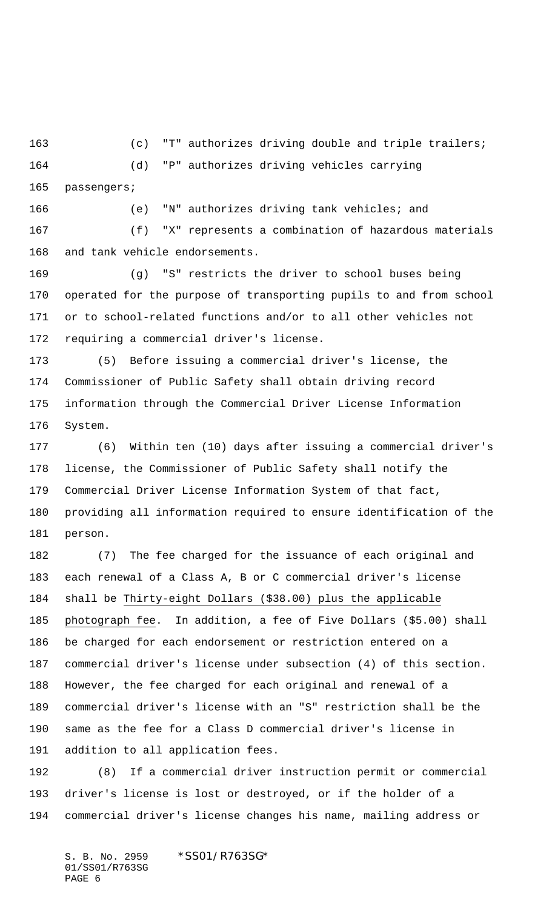(c) "T" authorizes driving double and triple trailers; (d) "P" authorizes driving vehicles carrying passengers;

 (e) "N" authorizes driving tank vehicles; and (f) "X" represents a combination of hazardous materials and tank vehicle endorsements.

 (g) "S" restricts the driver to school buses being operated for the purpose of transporting pupils to and from school or to school-related functions and/or to all other vehicles not requiring a commercial driver's license.

 (5) Before issuing a commercial driver's license, the Commissioner of Public Safety shall obtain driving record information through the Commercial Driver License Information System.

 (6) Within ten (10) days after issuing a commercial driver's license, the Commissioner of Public Safety shall notify the Commercial Driver License Information System of that fact, providing all information required to ensure identification of the person.

 (7) The fee charged for the issuance of each original and each renewal of a Class A, B or C commercial driver's license shall be Thirty-eight Dollars (\$38.00) plus the applicable photograph fee. In addition, a fee of Five Dollars (\$5.00) shall be charged for each endorsement or restriction entered on a commercial driver's license under subsection (4) of this section. However, the fee charged for each original and renewal of a commercial driver's license with an "S" restriction shall be the same as the fee for a Class D commercial driver's license in addition to all application fees.

 (8) If a commercial driver instruction permit or commercial driver's license is lost or destroyed, or if the holder of a commercial driver's license changes his name, mailing address or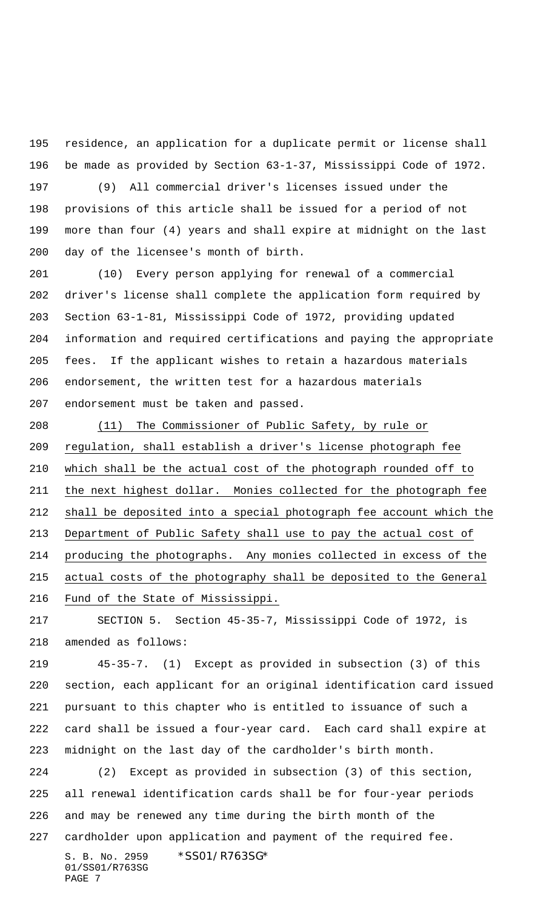residence, an application for a duplicate permit or license shall be made as provided by Section 63-1-37, Mississippi Code of 1972.

 (9) All commercial driver's licenses issued under the provisions of this article shall be issued for a period of not more than four (4) years and shall expire at midnight on the last day of the licensee's month of birth.

 (10) Every person applying for renewal of a commercial driver's license shall complete the application form required by Section 63-1-81, Mississippi Code of 1972, providing updated information and required certifications and paying the appropriate fees. If the applicant wishes to retain a hazardous materials endorsement, the written test for a hazardous materials endorsement must be taken and passed.

 (11) The Commissioner of Public Safety, by rule or regulation, shall establish a driver's license photograph fee which shall be the actual cost of the photograph rounded off to the next highest dollar. Monies collected for the photograph fee shall be deposited into a special photograph fee account which the Department of Public Safety shall use to pay the actual cost of producing the photographs. Any monies collected in excess of the actual costs of the photography shall be deposited to the General Fund of the State of Mississippi.

 SECTION 5. Section 45-35-7, Mississippi Code of 1972, is amended as follows:

 45-35-7. (1) Except as provided in subsection (3) of this section, each applicant for an original identification card issued pursuant to this chapter who is entitled to issuance of such a card shall be issued a four-year card. Each card shall expire at midnight on the last day of the cardholder's birth month.

 (2) Except as provided in subsection (3) of this section, all renewal identification cards shall be for four-year periods and may be renewed any time during the birth month of the cardholder upon application and payment of the required fee.